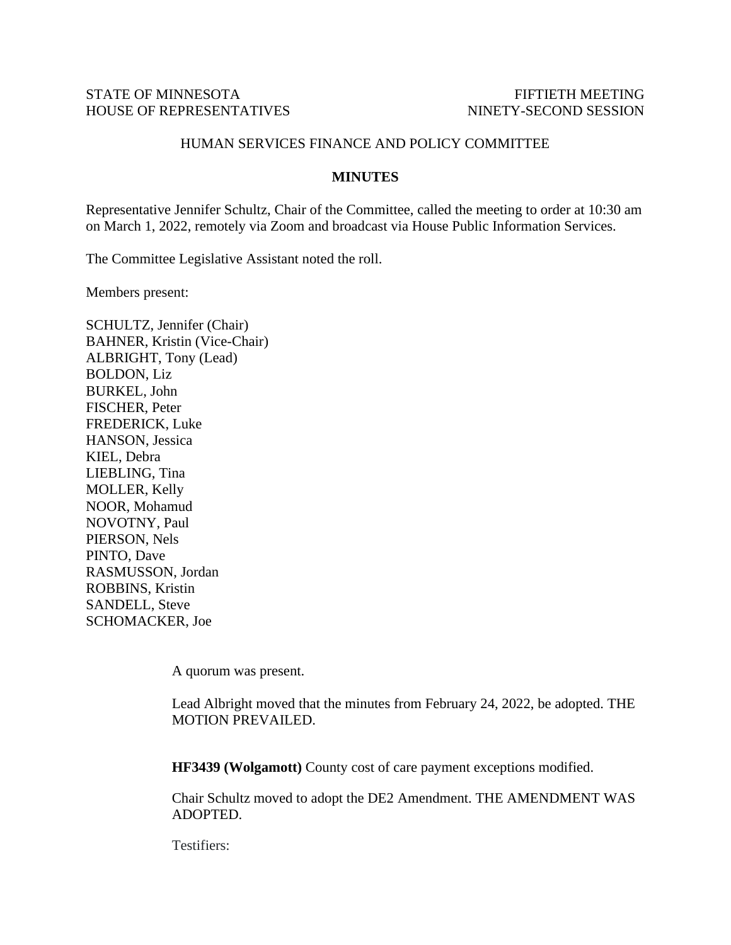## STATE OF MINNESOTA FIFTIETH MEETING HOUSE OF REPRESENTATIVES NINETY-SECOND SESSION

## HUMAN SERVICES FINANCE AND POLICY COMMITTEE

## **MINUTES**

Representative Jennifer Schultz, Chair of the Committee, called the meeting to order at 10:30 am on March 1, 2022, remotely via Zoom and broadcast via House Public Information Services.

The Committee Legislative Assistant noted the roll.

Members present:

SCHULTZ, Jennifer (Chair) BAHNER, Kristin (Vice-Chair) ALBRIGHT, Tony (Lead) BOLDON, Liz BURKEL, John FISCHER, Peter FREDERICK, Luke HANSON, Jessica KIEL, Debra LIEBLING, Tina MOLLER, Kelly NOOR, Mohamud NOVOTNY, Paul PIERSON, Nels PINTO, Dave RASMUSSON, Jordan ROBBINS, Kristin SANDELL, Steve SCHOMACKER, Joe

A quorum was present.

Lead Albright moved that the minutes from February 24, 2022, be adopted. THE MOTION PREVAILED.

**HF3439 (Wolgamott)** County cost of care payment exceptions modified.

Chair Schultz moved to adopt the DE2 Amendment. THE AMENDMENT WAS ADOPTED.

Testifiers: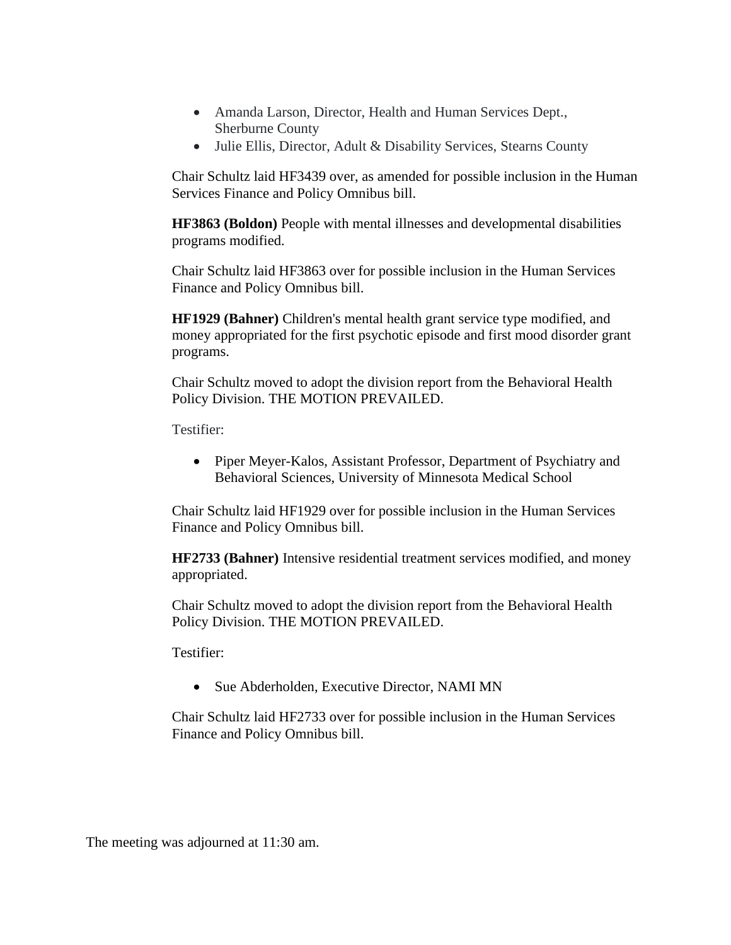- Amanda Larson, Director, Health and Human Services Dept., Sherburne County
- Julie Ellis, Director, Adult & Disability Services, Stearns County

Chair Schultz laid HF3439 over, as amended for possible inclusion in the Human Services Finance and Policy Omnibus bill.

**HF3863 (Boldon)** People with mental illnesses and developmental disabilities programs modified.

Chair Schultz laid HF3863 over for possible inclusion in the Human Services Finance and Policy Omnibus bill.

**HF1929 (Bahner)** Children's mental health grant service type modified, and money appropriated for the first psychotic episode and first mood disorder grant programs.

Chair Schultz moved to adopt the division report from the Behavioral Health Policy Division. THE MOTION PREVAILED.

Testifier:

• Piper Meyer-Kalos, Assistant Professor, Department of Psychiatry and Behavioral Sciences, University of Minnesota Medical School

Chair Schultz laid HF1929 over for possible inclusion in the Human Services Finance and Policy Omnibus bill.

**HF2733 (Bahner)** Intensive residential treatment services modified, and money appropriated.

Chair Schultz moved to adopt the division report from the Behavioral Health Policy Division. THE MOTION PREVAILED.

Testifier:

• Sue Abderholden, Executive Director, NAMI MN

Chair Schultz laid HF2733 over for possible inclusion in the Human Services Finance and Policy Omnibus bill.